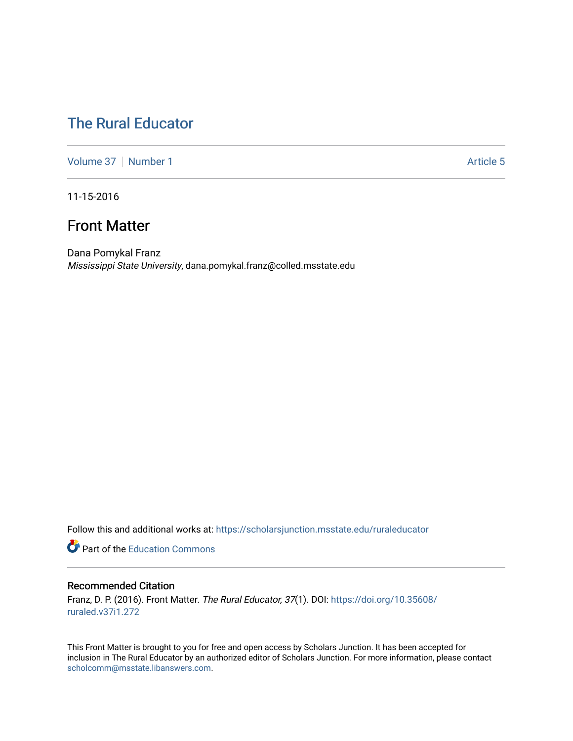# [The Rural Educator](https://scholarsjunction.msstate.edu/ruraleducator)

[Volume 37](https://scholarsjunction.msstate.edu/ruraleducator/vol37) | [Number 1](https://scholarsjunction.msstate.edu/ruraleducator/vol37/iss1) Article 5

11-15-2016

## Front Matter

Dana Pomykal Franz Mississippi State University, dana.pomykal.franz@colled.msstate.edu

Follow this and additional works at: [https://scholarsjunction.msstate.edu/ruraleducator](https://scholarsjunction.msstate.edu/ruraleducator?utm_source=scholarsjunction.msstate.edu%2Fruraleducator%2Fvol37%2Fiss1%2F5&utm_medium=PDF&utm_campaign=PDFCoverPages)

**Part of the [Education Commons](http://network.bepress.com/hgg/discipline/784?utm_source=scholarsjunction.msstate.edu%2Fruraleducator%2Fvol37%2Fiss1%2F5&utm_medium=PDF&utm_campaign=PDFCoverPages)** 

## Recommended Citation

Franz, D. P. (2016). Front Matter. The Rural Educator, 37(1). DOI: [https://doi.org/10.35608/](https://doi.org/10.35608/ruraled.v37i1.272) [ruraled.v37i1.272](https://doi.org/10.35608/ruraled.v37i1.272)

This Front Matter is brought to you for free and open access by Scholars Junction. It has been accepted for inclusion in The Rural Educator by an authorized editor of Scholars Junction. For more information, please contact [scholcomm@msstate.libanswers.com.](mailto:scholcomm@msstate.libanswers.com)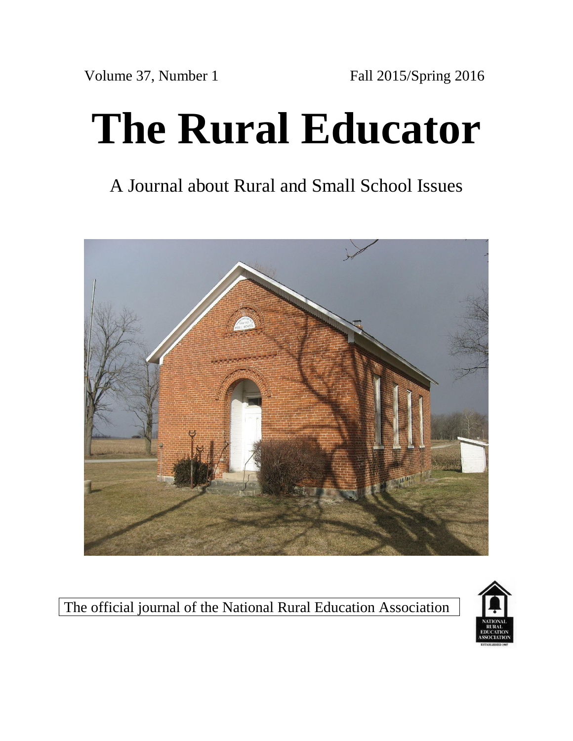# **The Rural Educator**

# A Journal about Rural and Small School Issues



The official journal of the National Rural Education Association

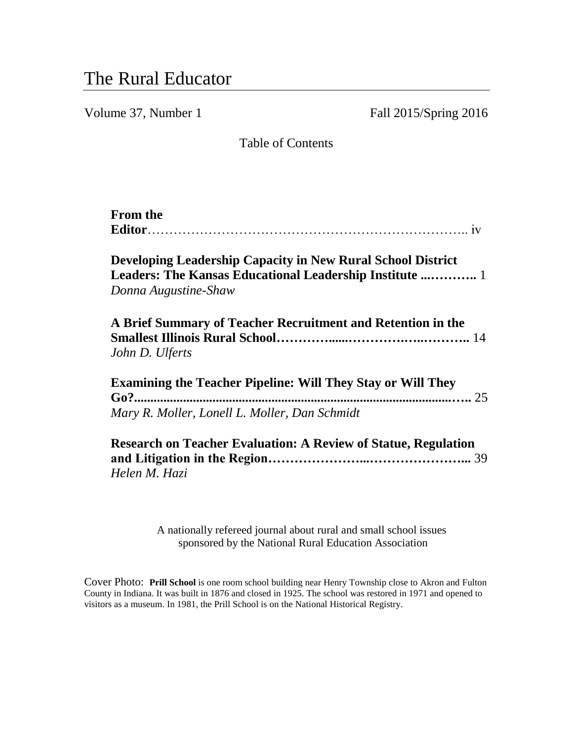# The Rural Educator

Volume 37, Number 1 Fall 2015/Spring 2016

Table of Contents

| <b>From the</b>                                                                                                                                       |
|-------------------------------------------------------------------------------------------------------------------------------------------------------|
| <b>Developing Leadership Capacity in New Rural School District</b><br>Leaders: The Kansas Educational Leadership Institute  1<br>Donna Augustine-Shaw |
| A Brief Summary of Teacher Recruitment and Retention in the<br>John D. Ulferts                                                                        |
| <b>Examining the Teacher Pipeline: Will They Stay or Will They</b><br>Mary R. Moller, Lonell L. Moller, Dan Schmidt                                   |
| <b>Research on Teacher Evaluation: A Review of Statue, Regulation</b><br>Helen M. Hazi                                                                |

 A nationally refereed journal about rural and small school issues sponsored by the National Rural Education Association

Cover Photo: **Prill School** is one room school building near Henry Township close to Akron and Fulton County in Indiana. It was built in 1876 and closed in 1925. The school was restored in 1971 and opened to visitors as a museum. In 1981, the Prill School is on the National Historical Registry.